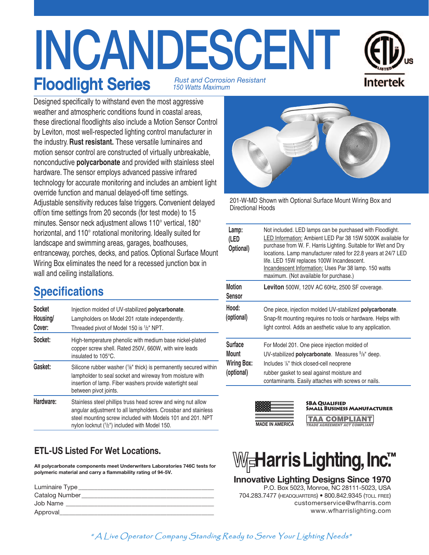# **INCANDESCENT Floodlight Series** *150 Watts Maximum Rust and Corrosion Resistant*



Designed specifically to withstand even the most aggressive weather and atmospheric conditions found in coastal areas, these directional floodlights also include a Motion Sensor Control by Leviton, most well-respected lighting control manufacturer in the industry. **Rust resistant.** These versatile luminaires and motion sensor control are constructed of virtually unbreakable, nonconductive **polycarbonate** and provided with stainless steel hardware. The sensor employs advanced passive infrared technology for accurate monitoring and includes an ambient light override function and manual delayed-off time settings. Adjustable sensitivity reduces false triggers. Convenient delayed off/on time settings from 20 seconds (for test mode) to 15 minutes. Sensor neck adjustment allows 110° vertical, 180° horizontal, and 110° rotational monitoring. Ideally suited for landscape and swimming areas, garages, boathouses, entranceway, porches, decks, and patios. Optional Surface Mount Wiring Box eliminates the need for a recessed junction box in wall and ceiling installations.

# **Specifications**

| <b>Socket</b><br>Housing/<br>Cover: | Injection molded of UV-stabilized polycarbonate.<br>Lampholders on Model 201 rotate independently.<br>Threaded pivot of Model 150 is 1/2" NPT.                                                                                               |
|-------------------------------------|----------------------------------------------------------------------------------------------------------------------------------------------------------------------------------------------------------------------------------------------|
| Socket:                             | High-temperature phenolic with medium base nickel-plated<br>copper screw shell. Rated 250V, 660W, with wire leads<br>insulated to 105°C.                                                                                                     |
| Gasket:                             | Silicone rubber washer (1/8" thick) is permanently secured within<br>lampholder to seal socket and wireway from moisture with<br>insertion of lamp. Fiber washers provide watertight seal<br>between pivot joints.                           |
| Hardware:                           | Stainless steel phillips truss head screw and wing nut allow<br>angular adjustment to all lampholders. Crossbar and stainless<br>steel mounting screw included with Models 101 and 201. NPT<br>nylon locknut (1/2") included with Model 150. |

## **ETL-US Listed For Wet Locations.**

**All polycarbonate components meet Underwriters Laboratories 746C tests for polymeric material and carry a flammability rating of 94-5V.**

| Catalog Number<br>Job Name | Luminaire Type |
|----------------------------|----------------|
|                            |                |
|                            |                |
| Approval                   |                |



201-W-MD Shown with Optional Surface Mount Wiring Box and Directional Hoods

| Lamp:<br>(LED<br>Optional)                                  | Not included. LED lamps can be purchased with Floodlight.<br>LED Information: Ambient LED Par 38 15W 5000K available for<br>purchase from W. F. Harris Lighting. Suitable for Wet and Dry<br>locations. Lamp manufacturer rated for 22.8 years at 24/7 LED<br>life. LED 15W replaces 100W Incandescent.<br>Incandescent Information: Uses Par 38 lamp. 150 watts<br>maximum. (Not available for purchase.) |
|-------------------------------------------------------------|------------------------------------------------------------------------------------------------------------------------------------------------------------------------------------------------------------------------------------------------------------------------------------------------------------------------------------------------------------------------------------------------------------|
| <b>Motion</b><br><b>Sensor</b>                              | Leviton 500W, 120V AC 60Hz, 2500 SF coverage.                                                                                                                                                                                                                                                                                                                                                              |
| Hood:<br>(optional)                                         | One piece, injection molded UV-stabilized <b>polycarbonate</b> .<br>Snap-fit mounting requires no tools or hardware. Helps with<br>light control. Adds an aesthetic value to any application.                                                                                                                                                                                                              |
| <b>Surface</b><br>Mount<br><b>Wiring Box:</b><br>(optional) | For Model 201. One piece injection molded of<br>UV-stabilized <b>polycarbonate</b> . Measures <sup>5</sup> / <sub>8</sub> " deep.<br>Includes 1/ <sub>8</sub> " thick closed-cell neoprene<br>rubber gasket to seal against moisture and<br>contaminants. Easily attaches with screws or nails.                                                                                                            |



#### **SBA Qualified Small Business Manufacturer**

**TAA COMPLIANT** *TRADE AGREEMENT ACT COMPLIANT*



### **Innovative Lighting Designs Since 1970**

 P.O. Box 5023, Monroe, NC 28111-5023, USA 704.283.7477 (headquarters) • 800.842.9345 (toll free) customerservice@wfharris.com www.wfharrislighting.com

" A Live Operator Company Standing Ready to Serve Your Lighting Needs"